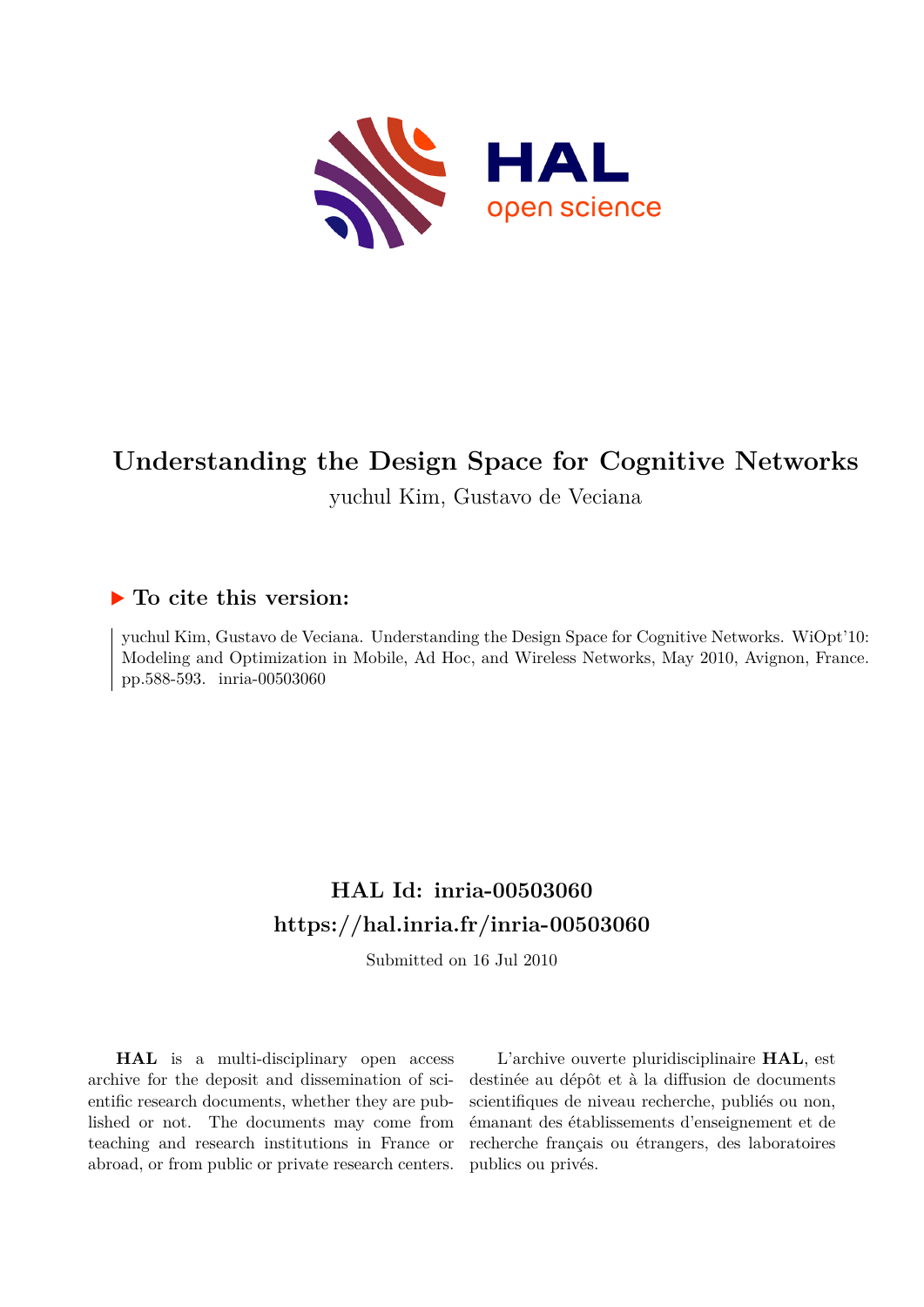

# **Understanding the Design Space for Cognitive Networks**

yuchul Kim, Gustavo de Veciana

# **To cite this version:**

yuchul Kim, Gustavo de Veciana. Understanding the Design Space for Cognitive Networks. WiOpt'10: Modeling and Optimization in Mobile, Ad Hoc, and Wireless Networks, May 2010, Avignon, France. pp.588-593. inria-00503060

# **HAL Id: inria-00503060 <https://hal.inria.fr/inria-00503060>**

Submitted on 16 Jul 2010

**HAL** is a multi-disciplinary open access archive for the deposit and dissemination of scientific research documents, whether they are published or not. The documents may come from teaching and research institutions in France or abroad, or from public or private research centers.

L'archive ouverte pluridisciplinaire **HAL**, est destinée au dépôt et à la diffusion de documents scientifiques de niveau recherche, publiés ou non, émanant des établissements d'enseignement et de recherche français ou étrangers, des laboratoires publics ou privés.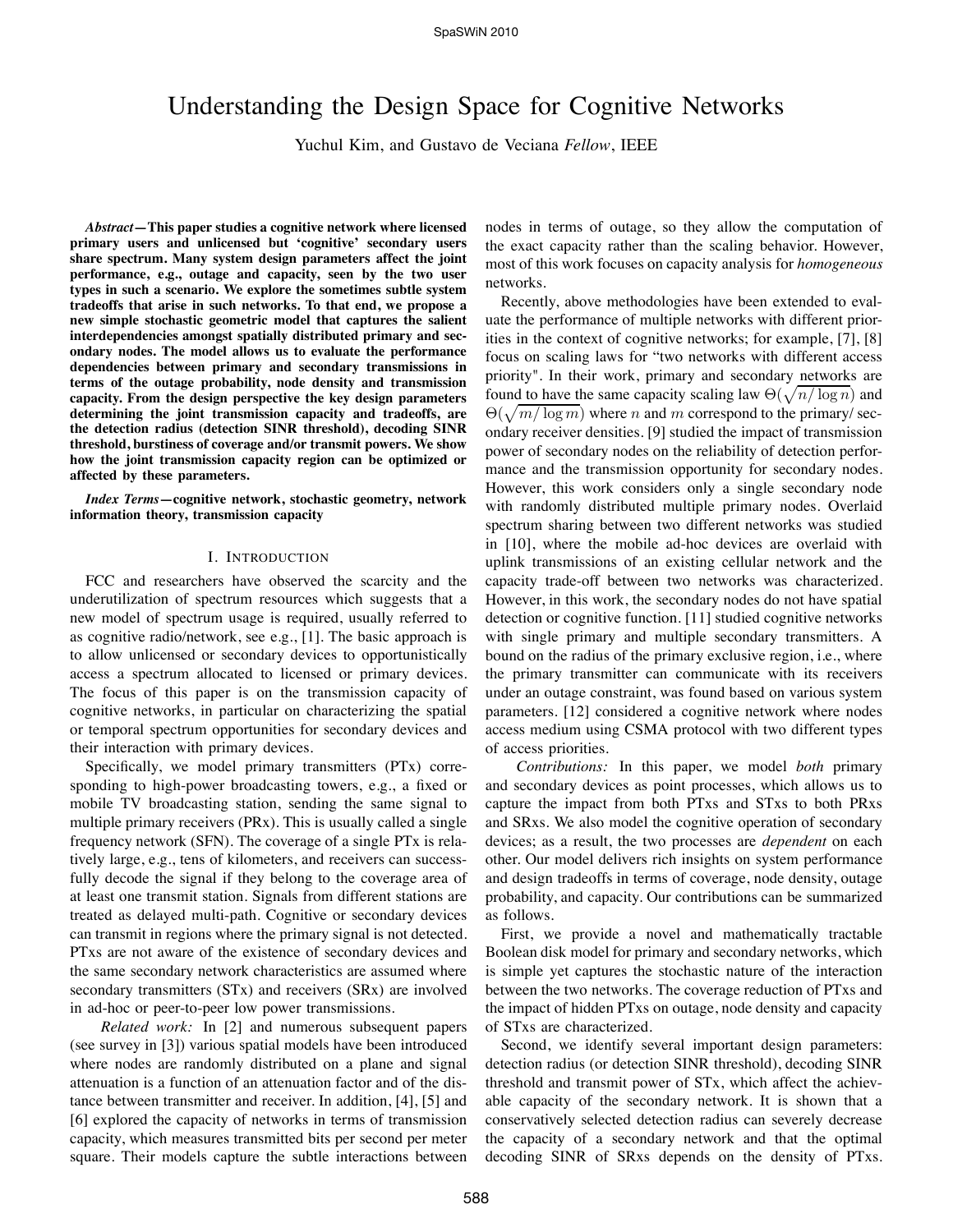# Understanding the Design Space for Cognitive Networks

Yuchul Kim, and Gustavo de Veciana *Fellow*, IEEE

*Abstract***—This paper studies a cognitive network where licensed primary users and unlicensed but 'cognitive' secondary users share spectrum. Many system design parameters affect the joint performance, e.g., outage and capacity, seen by the two user types in such a scenario. We explore the sometimes subtle system tradeoffs that arise in such networks. To that end, we propose a new simple stochastic geometric model that captures the salient interdependencies amongst spatially distributed primary and secondary nodes. The model allows us to evaluate the performance dependencies between primary and secondary transmissions in terms of the outage probability, node density and transmission capacity. From the design perspective the key design parameters determining the joint transmission capacity and tradeoffs, are the detection radius (detection SINR threshold), decoding SINR threshold, burstiness of coverage and/or transmit powers. We show how the joint transmission capacity region can be optimized or affected by these parameters.**

*Index Terms***—cognitive network, stochastic geometry, network information theory, transmission capacity**

#### I. INTRODUCTION

FCC and researchers have observed the scarcity and the underutilization of spectrum resources which suggests that a new model of spectrum usage is required, usually referred to as cognitive radio/network, see e.g., [1]. The basic approach is to allow unlicensed or secondary devices to opportunistically access a spectrum allocated to licensed or primary devices. The focus of this paper is on the transmission capacity of cognitive networks, in particular on characterizing the spatial or temporal spectrum opportunities for secondary devices and their interaction with primary devices.

Specifically, we model primary transmitters (PTx) corresponding to high-power broadcasting towers, e.g., a fixed or mobile TV broadcasting station, sending the same signal to multiple primary receivers (PRx). This is usually called a single frequency network (SFN). The coverage of a single PTx is relatively large, e.g., tens of kilometers, and receivers can successfully decode the signal if they belong to the coverage area of at least one transmit station. Signals from different stations are treated as delayed multi-path. Cognitive or secondary devices can transmit in regions where the primary signal is not detected. PTxs are not aware of the existence of secondary devices and the same secondary network characteristics are assumed where secondary transmitters (STx) and receivers (SRx) are involved in ad-hoc or peer-to-peer low power transmissions.

*Related work:* In [2] and numerous subsequent papers (see survey in [3]) various spatial models have been introduced where nodes are randomly distributed on a plane and signal attenuation is a function of an attenuation factor and of the distance between transmitter and receiver. In addition, [4], [5] and [6] explored the capacity of networks in terms of transmission capacity, which measures transmitted bits per second per meter square. Their models capture the subtle interactions between

nodes in terms of outage, so they allow the computation of the exact capacity rather than the scaling behavior. However, most of this work focuses on capacity analysis for *homogeneous* networks.

Recently, above methodologies have been extended to evaluate the performance of multiple networks with different priorities in the context of cognitive networks; for example, [7], [8] focus on scaling laws for "two networks with different access priority". In their work, primary and secondary networks are found to have the same capacity scaling law  $\Theta(\sqrt{n/\log n})$  and  $\Theta(\sqrt{m/\log m})$  where n and m correspond to the primary/secondary receiver densities. [9] studied the impact of transmission power of secondary nodes on the reliability of detection performance and the transmission opportunity for secondary nodes. However, this work considers only a single secondary node with randomly distributed multiple primary nodes. Overlaid spectrum sharing between two different networks was studied in [10], where the mobile ad-hoc devices are overlaid with uplink transmissions of an existing cellular network and the capacity trade-off between two networks was characterized. However, in this work, the secondary nodes do not have spatial detection or cognitive function. [11] studied cognitive networks with single primary and multiple secondary transmitters. A bound on the radius of the primary exclusive region, i.e., where the primary transmitter can communicate with its receivers under an outage constraint, was found based on various system parameters. [12] considered a cognitive network where nodes access medium using CSMA protocol with two different types of access priorities.

*Contributions:* In this paper, we model *both* primary and secondary devices as point processes, which allows us to capture the impact from both PTxs and STxs to both PRxs and SRxs. We also model the cognitive operation of secondary devices; as a result, the two processes are *dependent* on each other. Our model delivers rich insights on system performance and design tradeoffs in terms of coverage, node density, outage probability, and capacity. Our contributions can be summarized as follows.

First, we provide a novel and mathematically tractable Boolean disk model for primary and secondary networks, which is simple yet captures the stochastic nature of the interaction between the two networks. The coverage reduction of PTxs and the impact of hidden PTxs on outage, node density and capacity of STxs are characterized.

Second, we identify several important design parameters: detection radius (or detection SINR threshold), decoding SINR threshold and transmit power of STx, which affect the achievable capacity of the secondary network. It is shown that a conservatively selected detection radius can severely decrease the capacity of a secondary network and that the optimal decoding SINR of SRxs depends on the density of PTxs.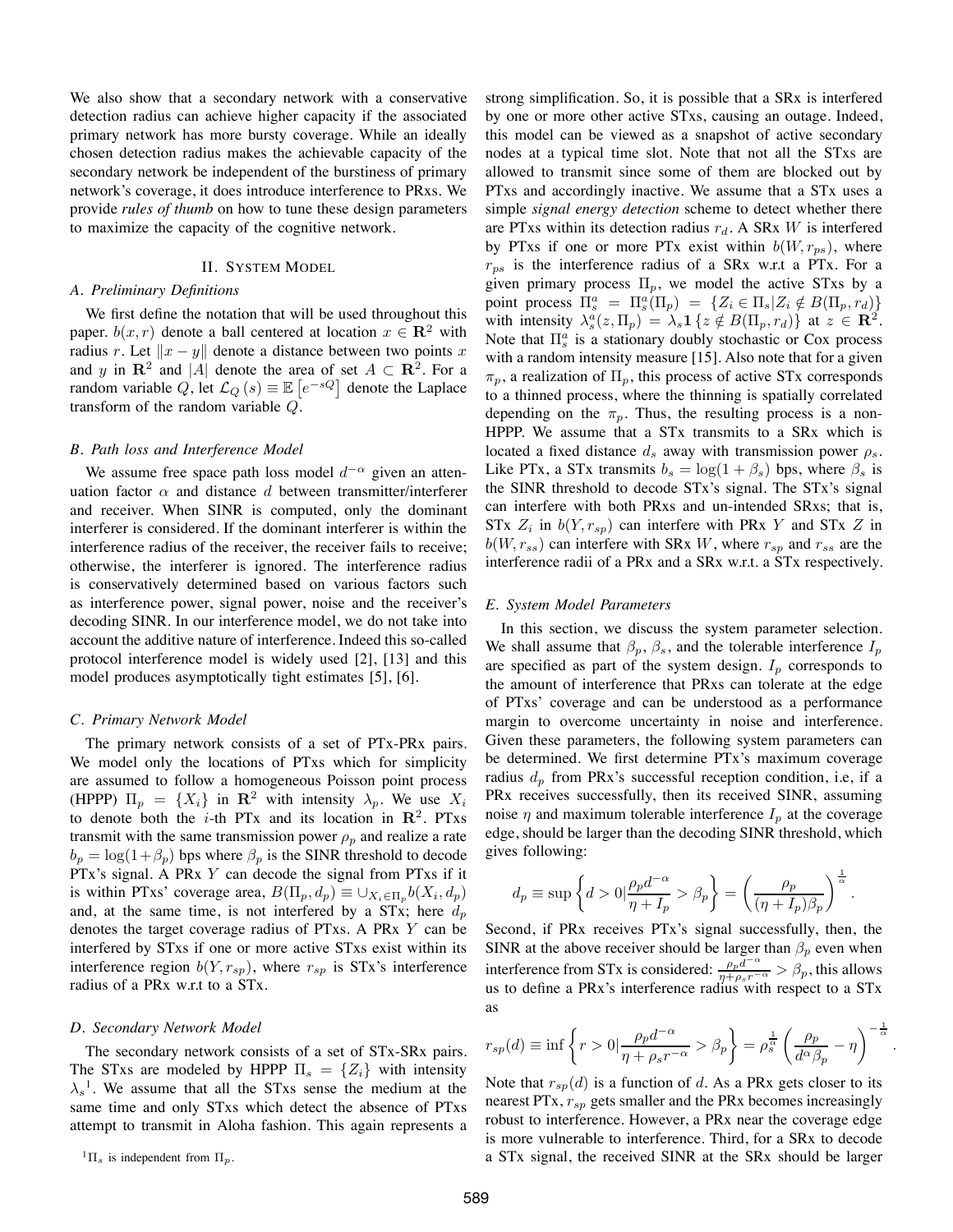We also show that a secondary network with a conservative detection radius can achieve higher capacity if the associated primary network has more bursty coverage. While an ideally chosen detection radius makes the achievable capacity of the secondary network be independent of the burstiness of primary network's coverage, it does introduce interference to PRxs. We provide *rules of thumb* on how to tune these design parameters to maximize the capacity of the cognitive network.

## II. SYSTEM MODEL

#### *A. Preliminary Definitions*

We first define the notation that will be used throughout this paper.  $b(x, r)$  denote a ball centered at location  $x \in \mathbb{R}^2$  with radius r. Let  $||x - y||$  denote a distance between two points x and y in  $\mathbb{R}^2$  and |A| denote the area of set  $A \subset \mathbb{R}^2$ . For a random variable Q, let  $\mathcal{L}_Q\left(s\right) \equiv \mathbb{E}\left[e^{-sQ}\right]$  denote the Laplace transform of the random variable Q.

#### *B. Path loss and Interference Model*

We assume free space path loss model  $d^{-\alpha}$  given an attenuation factor  $\alpha$  and distance d between transmitter/interferer and receiver. When SINR is computed, only the dominant interferer is considered. If the dominant interferer is within the interference radius of the receiver, the receiver fails to receive; otherwise, the interferer is ignored. The interference radius is conservatively determined based on various factors such as interference power, signal power, noise and the receiver's decoding SINR. In our interference model, we do not take into account the additive nature of interference. Indeed this so-called protocol interference model is widely used [2], [13] and this model produces asymptotically tight estimates [5], [6].

#### *C. Primary Network Model*

The primary network consists of a set of PTx-PRx pairs. We model only the locations of PTxs which for simplicity are assumed to follow a homogeneous Poisson point process (HPPP)  $\Pi_n = \{X_i\}$  in  $\mathbb{R}^2$  with intensity  $\lambda_n$ . We use  $X_i$ to denote both the *i*-th PTx and its location in  $\mathbb{R}^2$ . PTxs transmit with the same transmission power  $\rho_n$  and realize a rate  $b_p = \log(1+\beta_p)$  bps where  $\beta_p$  is the SINR threshold to decode PTx's signal. A PRx Y can decode the signal from PTxs if it is within PTxs' coverage area,  $B(\Pi_p, d_p) \equiv \bigcup_{X_i \in \Pi_p} b(X_i, d_p)$ and, at the same time, is not interfered by a STx; here  $d_p$ denotes the target coverage radius of PTxs. A PRx Y can be interfered by STxs if one or more active STxs exist within its interference region  $b(Y, r_{sp})$ , where  $r_{sp}$  is STx's interference radius of a PRx w.r.t to a STx.

#### *D. Secondary Network Model*

The secondary network consists of a set of STx-SRx pairs. The STxs are modeled by HPPP  $\Pi_s = \{Z_i\}$  with intensity  $\lambda_s$ <sup>1</sup>. We assume that all the STxs sense the medium at the same time and only STxs which detect the absence of PTxs attempt to transmit in Aloha fashion. This again represents a

 ${}^{1}\Pi_{s}$  is independent from  $\Pi_{p}$ .

strong simplification. So, it is possible that a SRx is interfered by one or more other active STxs, causing an outage. Indeed, this model can be viewed as a snapshot of active secondary nodes at a typical time slot. Note that not all the STxs are allowed to transmit since some of them are blocked out by PTxs and accordingly inactive. We assume that a STx uses a simple *signal energy detection* scheme to detect whether there are PTxs within its detection radius  $r_d$ . A SRx W is interfered by PTxs if one or more PTx exist within  $b(W, r_{ps})$ , where  $r_{ps}$  is the interference radius of a SRx w.r.t a PTx. For a given primary process  $\Pi_p$ , we model the active STxs by a point process  $\Pi_s^a = \Pi_s^a(\Pi_p) = \{Z_i \in \Pi_s | Z_i \notin B(\Pi_p, r_d)\}\$ with intensity  $\lambda_s^a(z, \Pi_p) = \lambda_s \mathbf{1} \{z \notin B(\Pi_p, r_d)\}\$  at  $z \in \mathbb{R}^2$ . Note that  $\Pi_s^a$  is a stationary doubly stochastic or Cox process with a random intensity measure [15]. Also note that for a given  $\pi_p$ , a realization of  $\Pi_p$ , this process of active STx corresponds to a thinned process, where the thinning is spatially correlated depending on the  $\pi_p$ . Thus, the resulting process is a non-HPPP. We assume that a STx transmits to a SRx which is located a fixed distance  $d_s$  away with transmission power  $\rho_s$ . Like PTx, a STx transmits  $b_s = \log(1 + \beta_s)$  bps, where  $\beta_s$  is the SINR threshold to decode STx's signal. The STx's signal can interfere with both PRxs and un-intended SRxs; that is, STx  $Z_i$  in  $b(Y, r_{sp})$  can interfere with PRx Y and STx Z in  $b(W, r_{ss})$  can interfere with SRx W, where  $r_{sp}$  and  $r_{ss}$  are the interference radii of a PRx and a SRx w.r.t. a STx respectively.

#### *E. System Model Parameters*

In this section, we discuss the system parameter selection. We shall assume that  $\beta_p$ ,  $\beta_s$ , and the tolerable interference  $I_p$ are specified as part of the system design.  $I_p$  corresponds to the amount of interference that PRxs can tolerate at the edge of PTxs' coverage and can be understood as a performance margin to overcome uncertainty in noise and interference. Given these parameters, the following system parameters can be determined. We first determine PTx's maximum coverage radius  $d_p$  from PRx's successful reception condition, i.e, if a PRx receives successfully, then its received SINR, assuming noise  $\eta$  and maximum tolerable interference  $I_p$  at the coverage edge, should be larger than the decoding SINR threshold, which gives following:

$$
d_p \equiv \sup \left\{ d > 0 \vert \frac{\rho_p d^{-\alpha}}{\eta + I_p} > \beta_p \right\} = \left( \frac{\rho_p}{(\eta + I_p)\beta_p} \right)^{\frac{1}{\alpha}}.
$$

Second, if PRx receives PTx's signal successfully, then, the SINR at the above receiver should be larger than  $\beta_p$  even when interference from STx is considered:  $\frac{\rho_p d^{-\alpha}}{\eta + \rho_s r^{-\alpha}} > \beta_p$ , this allows us to define a PRx's interference radius with respect to a STx as

$$
r_{sp}(d) \equiv \inf \left\{ r > 0 \Big| \frac{\rho_p d^{-\alpha}}{\eta + \rho_s r^{-\alpha}} > \beta_p \right\} = \rho_s^{\frac{1}{\alpha}} \left( \frac{\rho_p}{d^{\alpha} \beta_p} - \eta \right)^{-\frac{1}{\alpha}}
$$

.

Note that  $r_{\rm s0}(d)$  is a function of d. As a PRx gets closer to its nearest  $PTx, r_{sp}$  gets smaller and the PRx becomes increasingly robust to interference. However, a PRx near the coverage edge is more vulnerable to interference. Third, for a SRx to decode a STx signal, the received SINR at the SRx should be larger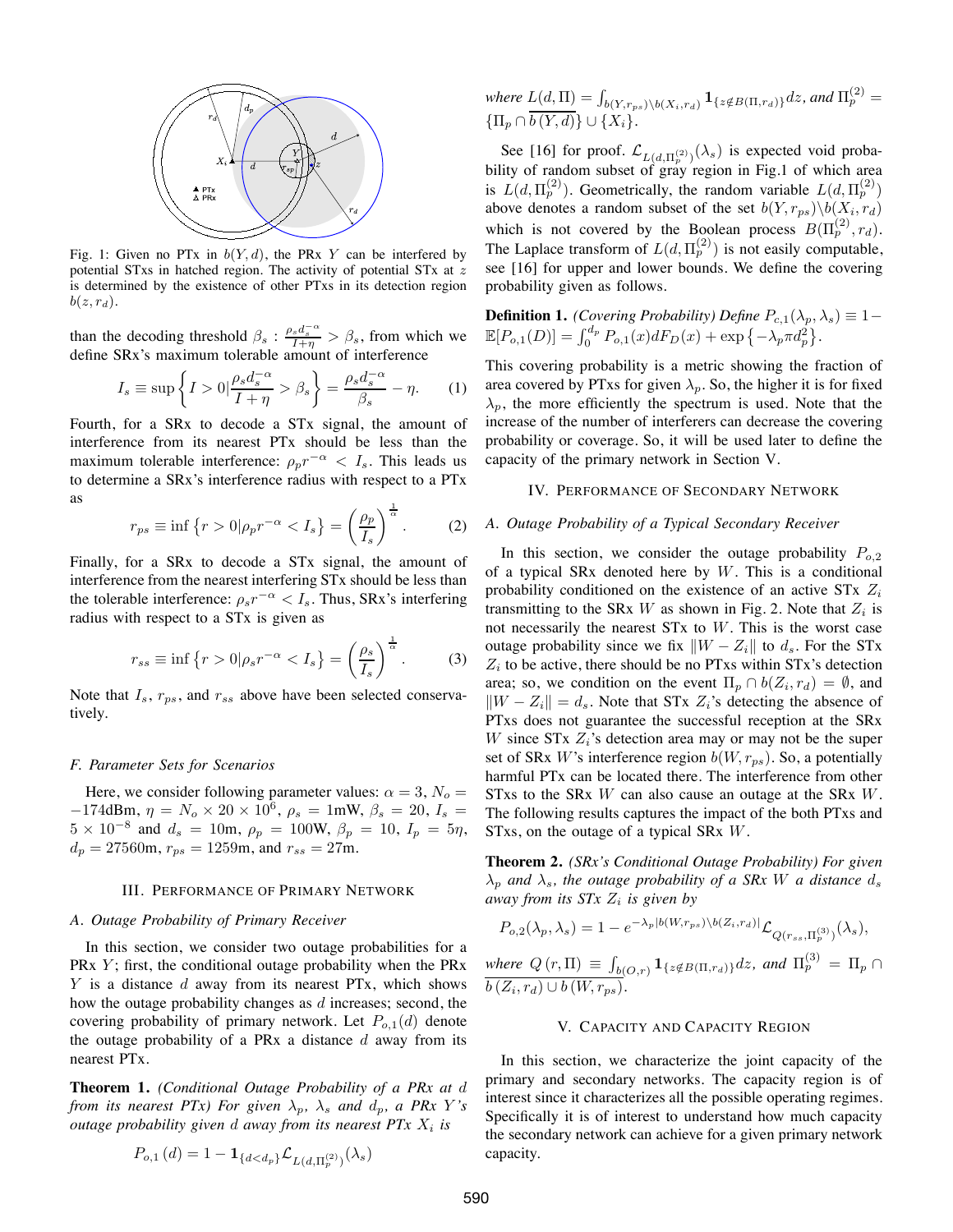

Fig. 1: Given no PTx in  $b(Y, d)$ , the PRx Y can be interfered by potential STxs in hatched region. The activity of potential STx at z is determined by the existence of other PTxs in its detection region  $b(z, r_d)$ .

than the decoding threshold  $\beta_s$ :  $\frac{\rho_s d_s^{-\alpha}}{1+\eta} > \beta_s$ , from which we define SRx's maximum tolerable amount of interference

$$
I_s \equiv \sup \left\{ I > 0 \middle| \frac{\rho_s d_s^{-\alpha}}{I + \eta} > \beta_s \right\} = \frac{\rho_s d_s^{-\alpha}}{\beta_s} - \eta. \tag{1}
$$

Fourth, for a SRx to decode a STx signal, the amount of interference from its nearest PTx should be less than the maximum tolerable interference:  $\rho_p r^{-\alpha} < I_s$ . This leads us to determine a SRx's interference radius with respect to a PTx as

$$
r_{ps} \equiv \inf \left\{ r > 0 \middle| \rho_p r^{-\alpha} < I_s \right\} = \left( \frac{\rho_p}{I_s} \right)^{\frac{1}{\alpha}}. \tag{2}
$$

Finally, for a SRx to decode a STx signal, the amount of interference from the nearest interfering STx should be less than the tolerable interference:  $\rho_s r^{-\alpha} < I_s$ . Thus, SRx's interfering radius with respect to a STx is given as

$$
r_{ss} \equiv \inf \left\{ r > 0 \middle| \rho_s r^{-\alpha} < I_s \right\} = \left( \frac{\rho_s}{I_s} \right)^{\frac{1}{\alpha}}. \tag{3}
$$

Note that  $I_s$ ,  $r_{ps}$ , and  $r_{ss}$  above have been selected conservatively.

#### *F. Parameter Sets for Scenarios*

Here, we consider following parameter values:  $\alpha = 3$ ,  $N<sub>o</sub> =$  $-174$ dBm,  $\eta = N_o \times 20 \times 10^6$ ,  $\rho_s = 1$ mW,  $\beta_s = 20$ ,  $I_s =$  $5 \times 10^{-8}$  and  $d_s = 10$ m,  $\rho_p = 100$ W,  $\beta_p = 10$ ,  $I_p = 5\eta$ ,  $d_p = 27560$ m,  $r_{ps} = 1259$ m, and  $r_{ss} = 27$ m.

#### III. PERFORMANCE OF PRIMARY NETWORK

#### *A. Outage Probability of Primary Receiver*

In this section, we consider two outage probabilities for a PRx  $Y$ ; first, the conditional outage probability when the PRx Y is a distance  $d$  away from its nearest PTx, which shows how the outage probability changes as  $d$  increases; second, the covering probability of primary network. Let  $P_{o,1}(d)$  denote the outage probability of a PRx a distance  $d$  away from its nearest PTx.

**Theorem 1.** *(Conditional Outage Probability of a PRx at* d *from its nearest PTx) For given*  $\lambda_p$ ,  $\lambda_s$  *and*  $d_p$ , *a PRx Y's outage probability given d away from its nearest*  $PTx X_i$  *is* 

$$
P_{o,1}\left(d\right)=1-{\bf 1}_{\{d
$$

where  $L(d, \Pi) = \int_{b(Y, r_{ps}) \setminus b(X_i, r_d)} \mathbf{1}_{\{z \notin B(\Pi, r_d)\}} dz$ *, and*  $\Pi_p^{(2)}$  =  ${\{\Pi_p \cap b(Y, d)\}\cup \{X_i\}}.$ 

See [16] for proof.  $\mathcal{L}_{L(d,\Pi_p^{(2)})}(\lambda_s)$  is expected void probability of random subset of gray region in Fig.1 of which area is  $L(d, \Pi_p^{(2)})$ . Geometrically, the random variable  $L(d, \Pi_p^{(2)})$ above denotes a random subset of the set  $b(Y, r_{ps})\backslash b(X_i, r_d)$ which is not covered by the Boolean process  $B(\Pi_p^{(2)}, r_d)$ . The Laplace transform of  $L(d, \Pi_p^{(2)})$  is not easily computable, see [16] for upper and lower bounds. We define the covering probability given as follows.

**Definition 1.** *(Covering Probability) Define*  $P_{c,1}(\lambda_p, \lambda_s) \equiv 1 - \frac{1}{2}$  $\mathbb{E}[P_{o,1}(D)] = \int_0^{d_p} P_{o,1}(x) dF_D(x) + \exp \{-\lambda_p \pi d_p^2\}.$ 

This covering probability is a metric showing the fraction of area covered by PTxs for given  $\lambda_p$ . So, the higher it is for fixed  $\lambda_p$ , the more efficiently the spectrum is used. Note that the increase of the number of interferers can decrease the covering probability or coverage. So, it will be used later to define the capacity of the primary network in Section V.

#### IV. PERFORMANCE OF SECONDARY NETWORK

#### *A. Outage Probability of a Typical Secondary Receiver*

In this section, we consider the outage probability  $P_{o,2}$ of a typical SRx denoted here by  $W$ . This is a conditional probability conditioned on the existence of an active STx  $Z_i$ transmitting to the SRx W as shown in Fig. 2. Note that  $Z_i$  is not necessarily the nearest  $STx$  to  $W$ . This is the worst case outage probability since we fix  $||W - Z_i||$  to  $d_s$ . For the STx  $Z_i$  to be active, there should be no PTxs within STx's detection area; so, we condition on the event  $\Pi_p \cap b(Z_i, r_d) = \emptyset$ , and  $||W - Z_i|| = d_s$ . Note that STx  $Z_i$ 's detecting the absence of PTxs does not guarantee the successful reception at the SRx W since STx  $Z_i$ 's detection area may or may not be the super set of SRx W's interference region  $b(W, r_{ps})$ . So, a potentially harmful PTx can be located there. The interference from other STxs to the SRx W can also cause an outage at the SRx W. The following results captures the impact of the both PTxs and STxs, on the outage of a typical SRx W.

**Theorem 2.** *(SRx's Conditional Outage Probability) For given*  $\lambda_p$  and  $\lambda_s$ , the outage probability of a SRx W a distance  $d_s$ *away from its STx* Z<sup>i</sup> *is given by*

$$
P_{o,2}(\lambda_p,\lambda_s) = 1 - e^{-\lambda_p |b(W,r_{ps})\setminus b(Z_i,r_d)|} \mathcal{L}_{Q(r_{ss},\Pi_p^{(3)})}(\lambda_s),
$$

where  $Q\left(r,\Pi\right) \,\equiv\, \int_{b(O,r)} {\bf 1}_{\{z \notin B(\Pi,r_d)\}} dz,$  and  $\Pi_p^{(3)} \,=\, \Pi_p \, \cap \,$  $b(Z_i, r_d) \cup b(W, r_{ps}).$ 

## V. CAPACITY AND CAPACITY REGION

In this section, we characterize the joint capacity of the primary and secondary networks. The capacity region is of interest since it characterizes all the possible operating regimes. Specifically it is of interest to understand how much capacity the secondary network can achieve for a given primary network capacity.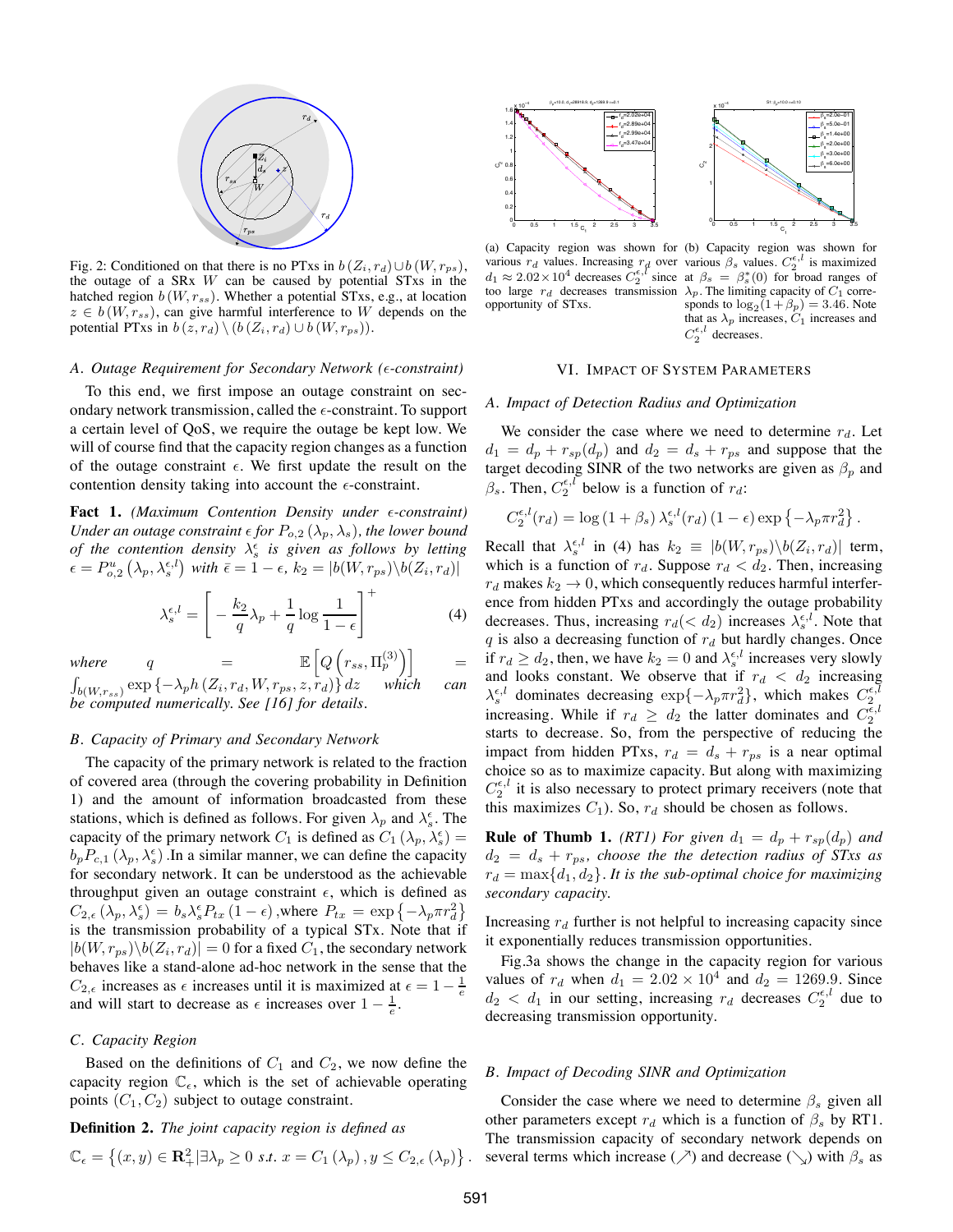

Fig. 2: Conditioned on that there is no PTxs in  $b(Z_i, r_d) \cup b(W, r_{ps})$ , the outage of a  $SRx$  W can be caused by potential  $STxs$  in the hatched region  $b(W, r_{ss})$ . Whether a potential STxs, e.g., at location  $z \in b(W, r_{ss})$ , can give harmful interference to W depends on the potential PTxs in  $b(z, r_d) \setminus (b(Z_i, r_d) \cup b(W, r_{ps}))$ .

#### *A. Outage Requirement for Secondary Network (*'*-constraint)*

To this end, we first impose an outage constraint on secondary network transmission, called the  $\epsilon$ -constraint. To support a certain level of QoS, we require the outage be kept low. We will of course find that the capacity region changes as a function of the outage constraint  $\epsilon$ . We first update the result on the contention density taking into account the  $\epsilon$ -constraint.

Fact 1. *(Maximum Contention Density under*  $\epsilon$ *-constraint) Under an outage constraint*  $\epsilon$  *for*  $P_{o,2}(\lambda_p, \lambda_s)$ *, the lower bound of the contention density*  $\lambda_s^{\epsilon}$  *is given as follows by letting*  $\epsilon = P_{o,2}^u(\lambda_p, \lambda_s^{\epsilon,l})$  with  $\bar{\epsilon} = 1 - \epsilon$ ,  $k_2 = |b(W, r_{ps})\backslash b(Z_i, r_d)|$ 

$$
\lambda_s^{\epsilon,l} = \left[ -\frac{k_2}{q} \lambda_p + \frac{1}{q} \log \frac{1}{1-\epsilon} \right]^+ \tag{4}
$$

*where*  $q = \mathbb{E}\left[Q\left(r_{ss}, \Pi_p^{(3)}\right)\right]$ 

$$
(r_{ss}, \Gamma)
$$

 $\grave{p}$  $\Big)$  =  $\int_{b(W,r_{ss})} \exp \{-\lambda_p h(Z_i, r_d, W, r_{ps}, z, r_d)\} dz$  *which can be computed numerically. See [16] for details.*

## *B. Capacity of Primary and Secondary Network*

The capacity of the primary network is related to the fraction of covered area (through the covering probability in Definition 1) and the amount of information broadcasted from these stations, which is defined as follows. For given  $\lambda_p$  and  $\lambda_s^{\epsilon}$ . The capacity of the primary network  $C_1$  is defined as  $C_1(\lambda_p, \lambda_s^{\epsilon}) =$  $b_p P_{c,1}(\lambda_p, \lambda_s^{\epsilon})$ . In a similar manner, we can define the capacity for secondary network. It can be understood as the achievable throughput given an outage constraint  $\epsilon$ , which is defined as  $C_{2,\epsilon}(\lambda_p, \lambda_s^{\epsilon}) = b_s \lambda_s^{\epsilon} P_{tx} (1 - \epsilon)$ , where  $P_{tx} = \exp \{-\lambda_p \pi r_d^2\}$ is the transmission probability of a typical STx. Note that if  $|b(W, r_{ps})\backslash b(Z_i, r_d)| = 0$  for a fixed  $C_1$ , the secondary network behaves like a stand-alone ad-hoc network in the sense that the  $C_{2,\epsilon}$  increases as  $\epsilon$  increases until it is maximized at  $\epsilon = 1 - \frac{1}{e}$ and will start to decrease as  $\epsilon$  increases over  $1 - \frac{1}{e}$ .

#### *C. Capacity Region*

Based on the definitions of  $C_1$  and  $C_2$ , we now define the capacity region  $\mathbb{C}_{\epsilon}$ , which is the set of achievable operating points  $(C_1, C_2)$  subject to outage constraint.

# **Definition 2.** *The joint capacity region is defined as*

$$
\mathbb{C}_{\epsilon} = \left\{ (x, y) \in \mathbf{R}_+^2 | \exists \lambda_p \geq 0 \text{ s.t. } x = C_1(\lambda_p), y \leq C_{2, \epsilon}(\lambda_p) \right\}.
$$





S1: β<sub>p</sub> =10.0 ε=0.10

> β $_{\rm s}$ =2.0e−01 β $_{\rm s}$ =5.0e−01  $\beta_{\rm s}$ =1.4e+00

> > =2.0e+00

x 10<sup>−</sup><sup>4</sup>

(a) Capacity region was shown for (b) Capacity region was shown for various  $r_d$  values. Increasing  $r_d$  over<br>  $d_1 \approx 2.02 \times 10^4$  decreases  $C_2^{\epsilon, l}$  since too large  $r_d$  decreases transmission  $\lambda_p$ . The limiting capacity of  $C_1$  correopportunity of STxs.

various  $\beta_s$  values.  $C_2^{\epsilon,l}$  is maximized<br>at  $\beta_s = \beta_s^*(0)$  for broad ranges of sponds to  $\log_2(1+\beta_p)=3.46$ . Note that as  $\lambda_p$  increases,  $C_1$  increases and  $C_2^{\epsilon,l}$  decreases.

# VI. IMPACT OF SYSTEM PARAMETERS

# *A. Impact of Detection Radius and Optimization*

We consider the case where we need to determine  $r_d$ . Let  $d_1 = d_p + r_{sp}(d_p)$  and  $d_2 = d_s + r_{ps}$  and suppose that the target decoding SINR of the two networks are given as  $\beta_p$  and  $\beta_s$ . Then,  $C_2^{\epsilon,l}$  below is a function of  $r_d$ :

$$
C_2^{\epsilon,l}(r_d) = \log\left(1+\beta_s\right)\lambda_s^{\epsilon,l}(r_d)\left(1-\epsilon\right)\exp\left\{-\lambda_p\pi r_d^2\right\}.
$$

Recall that  $\lambda_s^{\epsilon,l}$  in (4) has  $k_2 \equiv |b(W, r_{ps})\setminus b(Z_i, r_d)|$  term, which is a function of  $r_d$ . Suppose  $r_d < d_2$ . Then, increasing  $r_d$  makes  $k_2 \rightarrow 0$ , which consequently reduces harmful interference from hidden PTxs and accordingly the outage probability decreases. Thus, increasing  $r_d(< d_2)$  increases  $\lambda_s^{\epsilon,l}$ . Note that  $q$  is also a decreasing function of  $r_d$  but hardly changes. Once if  $r_d \geq d_2$ , then, we have  $k_2 = 0$  and  $\lambda_s^{\epsilon,l}$  increases very slowly and looks constant. We observe that if  $r_d < d_2$  increasing  $\lambda_s^{\epsilon,l}$  dominates decreasing  $\exp\{-\lambda_p \pi r_d^2\}$ , which makes  $C_2^{\epsilon,l}$ increasing. While if  $r_d \geq d_2$  the latter dominates and  $C_2^{\bar{\epsilon},l}$ starts to decrease. So, from the perspective of reducing the impact from hidden PTxs,  $r_d = d_s + r_{ps}$  is a near optimal choice so as to maximize capacity. But along with maximizing  $C_2^{\epsilon,l}$  it is also necessary to protect primary receivers (note that this maximizes  $C_1$ ). So,  $r_d$  should be chosen as follows.

**Rule of Thumb 1.** *(RT1) For given*  $d_1 = d_p + r_{sp}(d_p)$  *and*  $d_2 = d_s + r_{ps}$ , choose the the detection radius of STxs as  $r_d = \max\{d_1, d_2\}$ . It is the sub-optimal choice for maximizing *secondary capacity.*

Increasing  $r_d$  further is not helpful to increasing capacity since it exponentially reduces transmission opportunities.

Fig.3a shows the change in the capacity region for various values of  $r_d$  when  $d_1 = 2.02 \times 10^4$  and  $d_2 = 1269.9$ . Since  $d_2 < d_1$  in our setting, increasing  $r_d$  decreases  $C_2^{\epsilon,l}$  due to decreasing transmission opportunity.

#### *B. Impact of Decoding SINR and Optimization*

Consider the case where we need to determine  $\beta_s$  given all other parameters except  $r_d$  which is a function of  $\beta_s$  by RT1. The transmission capacity of secondary network depends on several terms which increase ( $\nearrow$ ) and decrease ( $\searrow$ ) with  $\beta_s$  as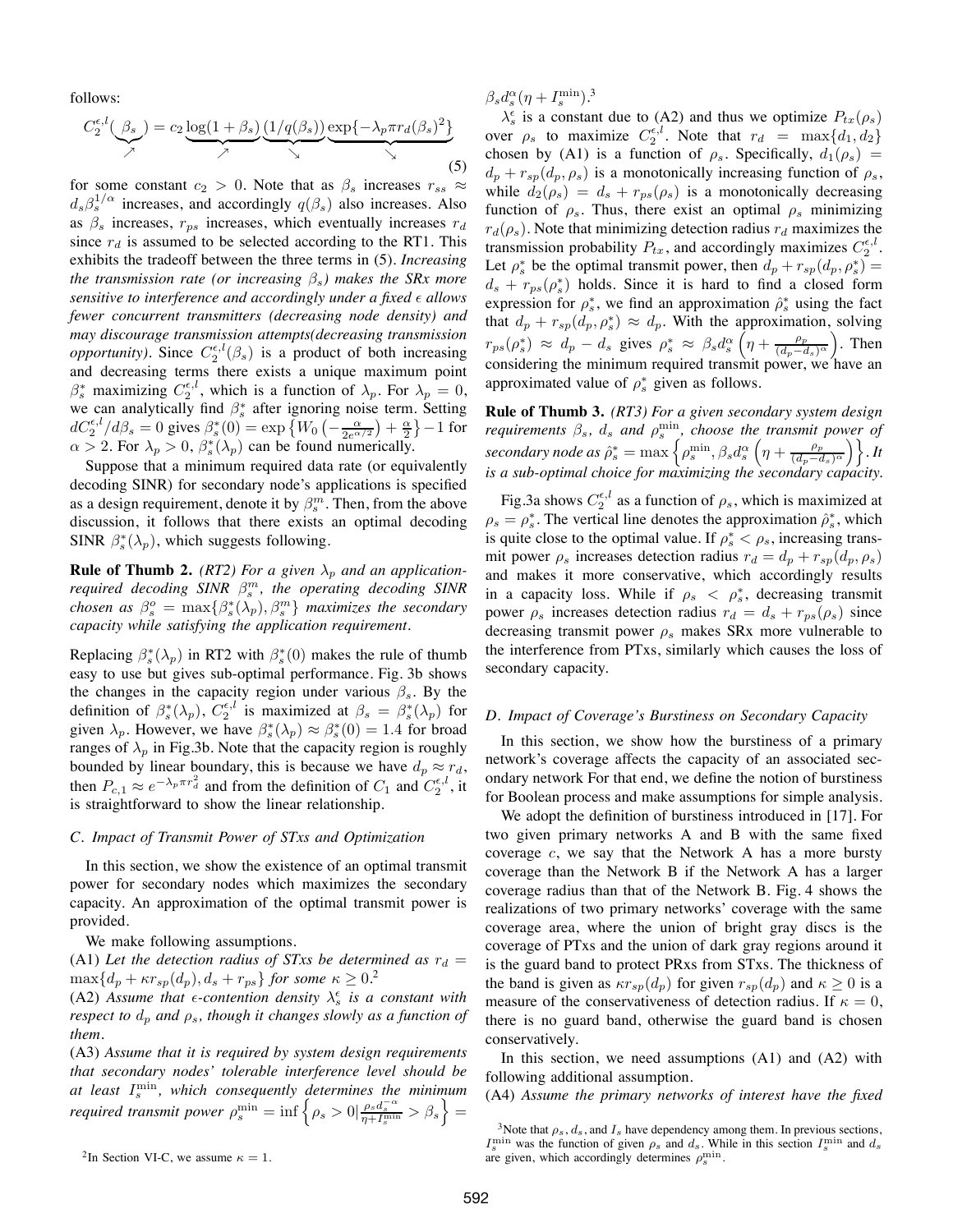follows:

$$
C_2^{e,l}(\underbrace{\beta_s}_{\times}) = c_2 \underbrace{\log(1+\beta_s)}_{\times} \underbrace{(1/q(\beta_s))}_{\searrow} \underbrace{\exp\{-\lambda_p \pi r_d(\beta_s)^2\}}_{\searrow} \tag{5}
$$

for some constant  $c_2 > 0$ . Note that as  $\beta_s$  increases  $r_{ss} \approx$  $d_s\beta_s^{1/\alpha}$  increases, and accordingly  $q(\beta_s)$  also increases. Also as  $\beta_s$  increases,  $r_{ps}$  increases, which eventually increases  $r_d$ since  $r_d$  is assumed to be selected according to the RT1. This exhibits the tradeoff between the three terms in (5). *Increasing the transmission rate (or increasing* βs*) makes the SRx more sensitive to interference and accordingly under a fixed*  $\epsilon$  *allows fewer concurrent transmitters (decreasing node density) and may discourage transmission attempts(decreasing transmission opportunity*). Since  $C_2^{\epsilon,l}(\beta_s)$  is a product of both increasing and decreasing terms there exists a unique maximum point  $\beta_s^*$  maximizing  $C_2^{\epsilon,l}$ , which is a function of  $\lambda_p$ . For  $\lambda_p = 0$ , we can analytically find  $\beta_s^*$  after ignoring noise term. Setting  $dC_2^{\epsilon,l}/d\beta_s = 0$  gives  $\beta_s^*(0) = \exp\left\{W_0\left(-\frac{\alpha}{2e^{\alpha/2}}\right) + \frac{\alpha}{2}\right\} - 1$  for  $\alpha > 2$ . For  $\lambda_p > 0$ ,  $\beta_s^*(\lambda_p)$  can be found numerically.

Suppose that a minimum required data rate (or equivalently decoding SINR) for secondary node's applications is specified as a design requirement, denote it by  $\beta_s^m$ . Then, from the above discussion, it follows that there exists an optimal decoding SINR  $\beta_s^*(\lambda_p)$ , which suggests following.

**Rule of Thumb 2.** (RT2) For a given  $\lambda_p$  and an application*required decoding SINR*  $\beta_s^m$ *, the operating decoding SINR chosen as*  $\beta_s^o = \max\{\beta_s^*(\lambda_p), \beta_s^m\}$  *maximizes the secondary capacity while satisfying the application requirement.*

Replacing  $\beta_s^*(\lambda_p)$  in RT2 with  $\beta_s^*(0)$  makes the rule of thumb easy to use but gives sub-optimal performance. Fig. 3b shows the changes in the capacity region under various  $\beta_s$ . By the definition of  $\beta_s^*(\lambda_p)$ ,  $C_2^{\epsilon,l}$  is maximized at  $\beta_s = \beta_s^*(\lambda_p)$  for given  $\lambda_p$ . However, we have  $\beta_s^*(\lambda_p) \approx \beta_s^*(0) = 1.4$  for broad ranges of  $\lambda_p$  in Fig.3b. Note that the capacity region is roughly bounded by linear boundary, this is because we have  $d_p \approx r_d$ , then  $P_{c,1} \approx e^{-\lambda_p \pi r_d^2}$  and from the definition of  $C_1$  and  $C_2^{\epsilon,l}$ , it is straightforward to show the linear relationship.

## *C. Impact of Transmit Power of STxs and Optimization*

In this section, we show the existence of an optimal transmit power for secondary nodes which maximizes the secondary capacity. An approximation of the optimal transmit power is provided.

We make following assumptions.

(A1) Let the detection radius of STxs be determined as  $r_d =$  $\max\{d_p+\kappa r_{sp}(d_p), d_s+r_{ps}\}$  for some  $\kappa\geq 0.2$ 

(A2) Assume that  $\epsilon$ -contention density  $\lambda_s^{\epsilon}$  is a constant with *respect to*  $d_p$  *and*  $\rho_s$ *, though it changes slowly as a function of them.*

(A3) *Assume that it is required by system design requirements that secondary nodes' tolerable interference level should be at least* Imin <sup>s</sup> *, which consequently determines the minimum required transmit power*  $\rho_s^{\min} = \inf \left\{ \rho_s > 0 \middle| \frac{\rho_s d_s^{-\alpha}}{\eta + I_s^{\min}} > \beta_s \right\} =$ 

<sup>2</sup>In Section VI-C, we assume  $\kappa = 1$ .

 $\beta_s d_s^{\alpha} (\eta + I_s^{\text{min}}).^3$ 

 $\lambda_s^{\epsilon}$  is a constant due to (A2) and thus we optimize  $P_{tx}(\rho_s)$ over  $\rho_s$  to maximize  $C_2^{\epsilon,l}$ . Note that  $r_d = \max\{d_1, d_2\}$ chosen by (A1) is a function of  $\rho_s$ . Specifically,  $d_1(\rho_s)$  =  $d_p + r_{sp}(d_p, \rho_s)$  is a monotonically increasing function of  $\rho_s$ , while  $d_2(\rho_s) = d_s + r_{ps}(\rho_s)$  is a monotonically decreasing function of  $\rho_s$ . Thus, there exist an optimal  $\rho_s$  minimizing  $r_d(\rho_s)$ . Note that minimizing detection radius  $r_d$  maximizes the transmission probability  $P_{tx}$ , and accordingly maximizes  $C_2^{\epsilon,l}$ . Let  $\rho_s^*$  be the optimal transmit power, then  $d_p + r_{sp}(d_p, \rho_s^*) =$  $d_s + r_{ps}(\rho_s^*)$  holds. Since it is hard to find a closed form expression for  $\rho_s^*$ , we find an approximation  $\hat{\rho}_s^*$  using the fact that  $d_p + r_{sp}(d_p, \rho_s^*) \approx d_p$ . With the approximation, solving  $r_{ps}(\rho_s^*) \approx d_p - d_s$  gives  $\rho_s^* \approx \beta_s d_s^{\alpha} \left(\eta + \frac{\rho_p}{(d_p - d_s)^{\alpha}}\right)$ . Then considering the minimum required transmit power, we have an approximated value of  $\rho_s^*$  given as follows.

**Rule of Thumb 3.** *(RT3) For a given secondary system design requirements*  $\beta_s$ ,  $d_s$  *and*  $\rho_s^{\min}$ , *choose the transmit power of*  $\textit{secondary node as } \hat{\rho}_s^* = \max\left\{\rho_s^{\min}, \beta_s d_s^{\alpha}\left(\eta + \frac{\rho_p}{(d_p - d_s)^{\alpha}}\right)\right\}.$  It *is a sub-optimal choice for maximizing the secondary capacity.*

Fig.3a shows  $C_2^{\epsilon,l}$  as a function of  $\rho_s$ , which is maximized at  $\rho_s = \rho_s^*$ . The vertical line denotes the approximation  $\hat{\rho}_s^*$ , which is quite close to the optimal value. If  $\rho_s^* < \rho_s$ , increasing transmit power  $\rho_s$  increases detection radius  $r_d = d_p + r_{sp}(d_p, \rho_s)$ and makes it more conservative, which accordingly results in a capacity loss. While if  $\rho_s < \rho_s^*$ , decreasing transmit power  $\rho_s$  increases detection radius  $r_d = d_s + r_{ps}(\rho_s)$  since decreasing transmit power  $\rho_s$  makes SRx more vulnerable to the interference from PTxs, similarly which causes the loss of secondary capacity.

# *D. Impact of Coverage's Burstiness on Secondary Capacity*

In this section, we show how the burstiness of a primary network's coverage affects the capacity of an associated secondary network For that end, we define the notion of burstiness for Boolean process and make assumptions for simple analysis.

We adopt the definition of burstiness introduced in [17]. For two given primary networks A and B with the same fixed coverage  $c$ , we say that the Network A has a more bursty coverage than the Network B if the Network A has a larger coverage radius than that of the Network B. Fig. 4 shows the realizations of two primary networks' coverage with the same coverage area, where the union of bright gray discs is the coverage of PTxs and the union of dark gray regions around it is the guard band to protect PRxs from STxs. The thickness of the band is given as  $\kappa r_{sp}(d_p)$  for given  $r_{sp}(d_p)$  and  $\kappa \geq 0$  is a measure of the conservativeness of detection radius. If  $\kappa = 0$ , there is no guard band, otherwise the guard band is chosen conservatively.

In this section, we need assumptions (A1) and (A2) with following additional assumption.

(A4) *Assume the primary networks of interest have the fixed*

<sup>&</sup>lt;sup>3</sup>Note that  $\rho_s$ ,  $d_s$ , and  $I_s$  have dependency among them. In previous sections,  $I_s^{\text{min}}$  was the function of given  $\rho_s$  and  $d_s$ . While in this section  $I_s^{\text{min}}$  and  $d_s$ are given, which accordingly determines  $\rho_s^{\text{min}}$ .